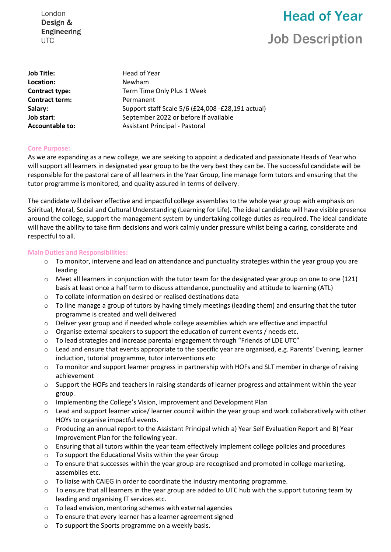London Design & **Engineering UTC** 

# Head of Year Job Description

| Job Title:             | Head of Year                                      |
|------------------------|---------------------------------------------------|
| Location:              | Newham                                            |
| Contract type:         | Term Time Only Plus 1 Week                        |
| <b>Contract term:</b>  | Permanent                                         |
| Salary:                | Support staff Scale 5/6 (£24,008 -£28,191 actual) |
| Job start:             | September 2022 or before if available             |
| <b>Accountable to:</b> | Assistant Principal - Pastoral                    |

#### **Core Purpose:**

As we are expanding as a new college, we are seeking to appoint a dedicated and passionate Heads of Year who will support all learners in designated year group to be the very best they can be. The successful candidate will be responsible for the pastoral care of all learners in the Year Group, line manage form tutors and ensuring that the tutor programme is monitored, and quality assured in terms of delivery.

The candidate will deliver effective and impactful college assemblies to the whole year group with emphasis on Spiritual, Moral, Social and Cultural Understanding (Learning for Life). The ideal candidate will have visible presence around the college, support the management system by undertaking college duties as required. The ideal candidate will have the ability to take firm decisions and work calmly under pressure whilst being a caring, considerate and respectful to all.

#### **Main Duties and Responsibilities:**

- $\circ$  To monitor, intervene and lead on attendance and punctuality strategies within the year group you are leading
- $\circ$  Meet all learners in conjunction with the tutor team for the designated year group on one to one (121) basis at least once a half term to discuss attendance, punctuality and attitude to learning (ATL)
- o To collate information on desired or realised destinations data
- o To line manage a group of tutors by having timely meetings (leading them) and ensuring that the tutor programme is created and well delivered
- o Deliver year group and if needed whole college assemblies which are effective and impactful
- $\circ$  Organise external speakers to support the education of current events / needs etc.
- $\circ$  To lead strategies and increase parental engagement through "Friends of LDE UTC"
- o Lead and ensure that events appropriate to the specific year are organised, e.g. Parents' Evening, learner induction, tutorial programme, tutor interventions etc
- o To monitor and support learner progress in partnership with HOFs and SLT member in charge of raising achievement
- $\circ$  Support the HOFs and teachers in raising standards of learner progress and attainment within the year group.
- o Implementing the College's Vision, Improvement and Development Plan
- $\circ$  Lead and support learner voice/ learner council within the year group and work collaboratively with other HOYs to organise impactful events.
- o Producing an annual report to the Assistant Principal which a) Year Self Evaluation Report and B) Year Improvement Plan for the following year.
- $\circ$  Ensuring that all tutors within the year team effectively implement college policies and procedures
- o To support the Educational Visits within the year Group
- o To ensure that successes within the year group are recognised and promoted in college marketing, assemblies etc.
- $\circ$  To liaise with CAIEG in order to coordinate the industry mentoring programme.
- o To ensure that all learners in the year group are added to UTC hub with the support tutoring team by leading and organising IT services etc.
- o To lead envision, mentoring schemes with external agencies
- o To ensure that every learner has a learner agreement signed
- o To support the Sports programme on a weekly basis.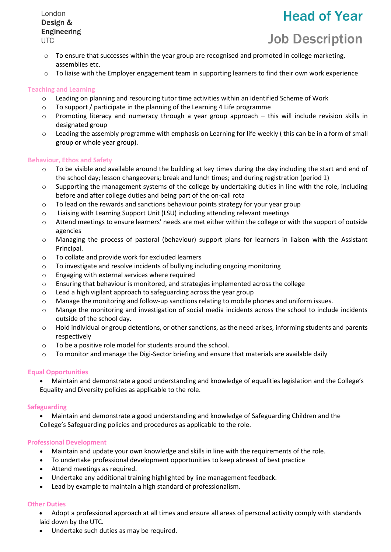London Design & **Engineering UTC** 

## Head of Year

### Job Description

- $\circ$  To ensure that successes within the year group are recognised and promoted in college marketing, assemblies etc.
- $\circ$  To liaise with the Employer engagement team in supporting learners to find their own work experience

#### **Teaching and Learning**

- $\circ$  Leading on planning and resourcing tutor time activities within an identified Scheme of Work
- o To support / participate in the planning of the Learning 4 Life programme
- o Promoting literacy and numeracy through a year group approach this will include revision skills in designated group
- $\circ$  Leading the assembly programme with emphasis on Learning for life weekly (this can be in a form of small group or whole year group).

#### **Behaviour, Ethos and Safety**

- $\circ$  To be visible and available around the building at key times during the day including the start and end of the school day; lesson changeovers; break and lunch times; and during registration (period 1)
- $\circ$  Supporting the management systems of the college by undertaking duties in line with the role, including before and after college duties and being part of the on-call rota
- $\circ$  To lead on the rewards and sanctions behaviour points strategy for your year group
- o Liaising with Learning Support Unit (LSU) including attending relevant meetings
- o Attend meetings to ensure learners' needs are met either within the college or with the support of outside agencies
- o Managing the process of pastoral (behaviour) support plans for learners in liaison with the Assistant Principal.
- o To collate and provide work for excluded learners
- o To investigate and resolve incidents of bullying including ongoing monitoring
- o Engaging with external services where required
- o Ensuring that behaviour is monitored, and strategies implemented across the college
- o Lead a high vigilant approach to safeguarding across the year group
- o Manage the monitoring and follow-up sanctions relating to mobile phones and uniform issues.
- o Mange the monitoring and investigation of social media incidents across the school to include incidents outside of the school day.
- $\circ$  Hold individual or group detentions, or other sanctions, as the need arises, informing students and parents respectively
- o To be a positive role model for students around the school.
- $\circ$  To monitor and manage the Digi-Sector briefing and ensure that materials are available daily

#### **Equal Opportunities**

• Maintain and demonstrate a good understanding and knowledge of equalities legislation and the College's Equality and Diversity policies as applicable to the role.

#### **Safeguarding**

• Maintain and demonstrate a good understanding and knowledge of Safeguarding Children and the College's Safeguarding policies and procedures as applicable to the role.

#### **Professional Development**

- Maintain and update your own knowledge and skills in line with the requirements of the role.
- To undertake professional development opportunities to keep abreast of best practice
- Attend meetings as required.
- Undertake any additional training highlighted by line management feedback.
- Lead by example to maintain a high standard of professionalism.

#### **Other Duties**

- Adopt a professional approach at all times and ensure all areas of personal activity comply with standards laid down by the UTC.
- Undertake such duties as may be required.